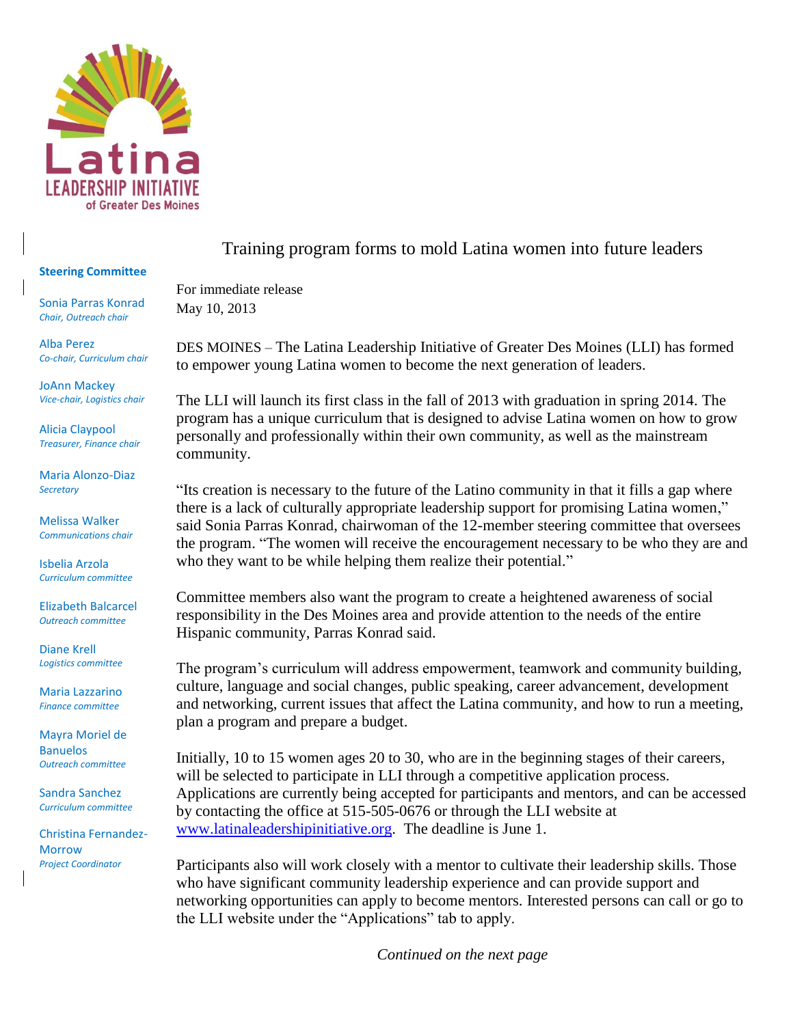

## **Steering Committee**

Sonia Parras Konrad *Chair, Outreach chair*

Alba Perez *Co-chair, Curriculum chair*

JoAnn Mackey *Vice-chair, Logistics chair*

Alicia Claypool *Treasurer, Finance chair*

Maria Alonzo-Diaz *Secretary*

Melissa Walker *Communications chair*

Isbelia Arzola *Curriculum committee*

Elizabeth Balcarcel *Outreach committee*

Diane Krell *Logistics committee*

Maria Lazzarino *Finance committee*

Mayra Moriel de Banuelos *Outreach committee*

Sandra Sanchez *Curriculum committee*

Christina Fernandez-Morrow *Project Coordinator*

## Training program forms to mold Latina women into future leaders

For immediate release May 10, 2013

DES MOINES – The Latina Leadership Initiative of Greater Des Moines (LLI) has formed to empower young Latina women to become the next generation of leaders.

The LLI will launch its first class in the fall of 2013 with graduation in spring 2014. The program has a unique curriculum that is designed to advise Latina women on how to grow personally and professionally within their own community, as well as the mainstream community.

"Its creation is necessary to the future of the Latino community in that it fills a gap where there is a lack of culturally appropriate leadership support for promising Latina women," said Sonia Parras Konrad, chairwoman of the 12-member steering committee that oversees the program. "The women will receive the encouragement necessary to be who they are and who they want to be while helping them realize their potential."

Committee members also want the program to create a heightened awareness of social responsibility in the Des Moines area and provide attention to the needs of the entire Hispanic community, Parras Konrad said.

The program's curriculum will address empowerment, teamwork and community building, culture, language and social changes, public speaking, career advancement, development and networking, current issues that affect the Latina community, and how to run a meeting, plan a program and prepare a budget.

Initially, 10 to 15 women ages 20 to 30, who are in the beginning stages of their careers, will be selected to participate in LLI through a competitive application process. Applications are currently being accepted for participants and mentors, and can be accessed by contacting the office at 515-505-0676 or through the LLI website at [www.latinaleadershipinitiative.org.](http://www.latinaleadershipinitiative.org/) The deadline is June 1.

Participants also will work closely with a mentor to cultivate their leadership skills. Those who have significant community leadership experience and can provide support and networking opportunities can apply to become mentors. Interested persons can call or go to the LLI website under the "Applications" tab to apply.

*Continued on the next page*